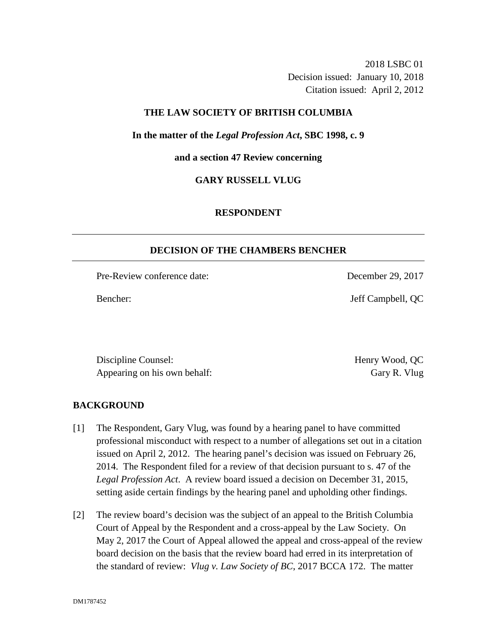2018 LSBC 01 Decision issued: January 10, 2018 Citation issued: April 2, 2012

# **THE LAW SOCIETY OF BRITISH COLUMBIA**

**In the matter of the** *Legal Profession Act***, SBC 1998, c. 9** 

**and a section 47 Review concerning**

**GARY RUSSELL VLUG**

# **RESPONDENT**

### **DECISION OF THE CHAMBERS BENCHER**

Pre-Review conference date: December 29, 2017

Bencher: Jeff Campbell, QC

Discipline Counsel: **Henry Wood, QC** Appearing on his own behalf: Gary R. Vlug

# **BACKGROUND**

- [1] The Respondent, Gary Vlug, was found by a hearing panel to have committed professional misconduct with respect to a number of allegations set out in a citation issued on April 2, 2012. The hearing panel's decision was issued on February 26, 2014. The Respondent filed for a review of that decision pursuant to s. 47 of the *Legal Profession Act*. A review board issued a decision on December 31, 2015, setting aside certain findings by the hearing panel and upholding other findings.
- [2] The review board's decision was the subject of an appeal to the British Columbia Court of Appeal by the Respondent and a cross-appeal by the Law Society. On May 2, 2017 the Court of Appeal allowed the appeal and cross-appeal of the review board decision on the basis that the review board had erred in its interpretation of the standard of review: *Vlug v. Law Society of BC*, 2017 BCCA 172. The matter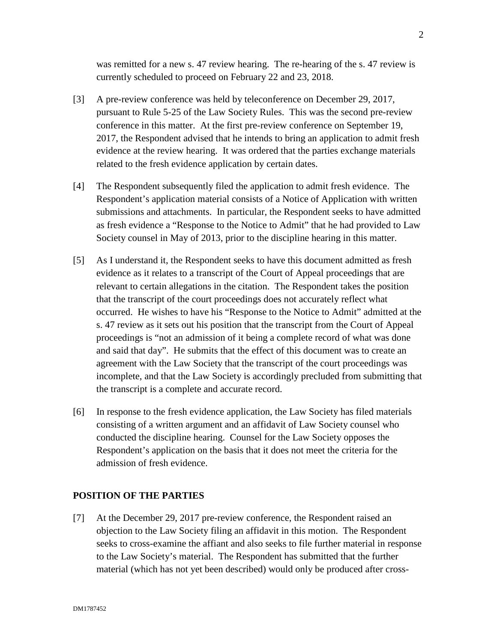was remitted for a new s. 47 review hearing. The re-hearing of the s. 47 review is currently scheduled to proceed on February 22 and 23, 2018.

- [3] A pre-review conference was held by teleconference on December 29, 2017, pursuant to Rule 5-25 of the Law Society Rules. This was the second pre-review conference in this matter. At the first pre-review conference on September 19, 2017, the Respondent advised that he intends to bring an application to admit fresh evidence at the review hearing. It was ordered that the parties exchange materials related to the fresh evidence application by certain dates.
- [4] The Respondent subsequently filed the application to admit fresh evidence. The Respondent's application material consists of a Notice of Application with written submissions and attachments. In particular, the Respondent seeks to have admitted as fresh evidence a "Response to the Notice to Admit" that he had provided to Law Society counsel in May of 2013, prior to the discipline hearing in this matter.
- [5] As I understand it, the Respondent seeks to have this document admitted as fresh evidence as it relates to a transcript of the Court of Appeal proceedings that are relevant to certain allegations in the citation. The Respondent takes the position that the transcript of the court proceedings does not accurately reflect what occurred. He wishes to have his "Response to the Notice to Admit" admitted at the s. 47 review as it sets out his position that the transcript from the Court of Appeal proceedings is "not an admission of it being a complete record of what was done and said that day". He submits that the effect of this document was to create an agreement with the Law Society that the transcript of the court proceedings was incomplete, and that the Law Society is accordingly precluded from submitting that the transcript is a complete and accurate record.
- [6] In response to the fresh evidence application, the Law Society has filed materials consisting of a written argument and an affidavit of Law Society counsel who conducted the discipline hearing. Counsel for the Law Society opposes the Respondent's application on the basis that it does not meet the criteria for the admission of fresh evidence.

# **POSITION OF THE PARTIES**

[7] At the December 29, 2017 pre-review conference, the Respondent raised an objection to the Law Society filing an affidavit in this motion. The Respondent seeks to cross-examine the affiant and also seeks to file further material in response to the Law Society's material. The Respondent has submitted that the further material (which has not yet been described) would only be produced after cross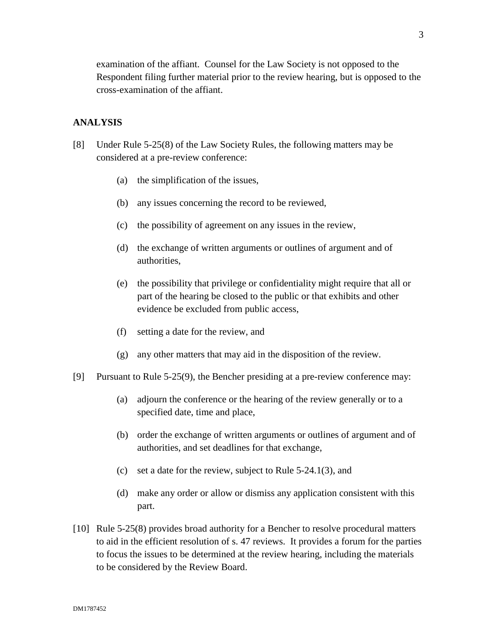examination of the affiant. Counsel for the Law Society is not opposed to the Respondent filing further material prior to the review hearing, but is opposed to the cross-examination of the affiant.

## **ANALYSIS**

- [8] Under Rule 5-25(8) of the Law Society Rules, the following matters may be considered at a pre-review conference:
	- (a) the simplification of the issues,
	- (b) any issues concerning the record to be reviewed,
	- (c) the possibility of agreement on any issues in the review,
	- (d) the exchange of written arguments or outlines of argument and of authorities,
	- (e) the possibility that privilege or confidentiality might require that all or part of the hearing be closed to the public or that exhibits and other evidence be excluded from public access,
	- (f) setting a date for the review, and
	- (g) any other matters that may aid in the disposition of the review.
- [9] Pursuant to Rule 5-25(9), the Bencher presiding at a pre-review conference may:
	- (a) adjourn the conference or the hearing of the review generally or to a specified date, time and place,
	- (b) order the exchange of written arguments or outlines of argument and of authorities, and set deadlines for that exchange,
	- (c) set a date for the review, subject to Rule 5-24.1(3), and
	- (d) make any order or allow or dismiss any application consistent with this part.
- [10] Rule 5-25(8) provides broad authority for a Bencher to resolve procedural matters to aid in the efficient resolution of s. 47 reviews. It provides a forum for the parties to focus the issues to be determined at the review hearing, including the materials to be considered by the Review Board.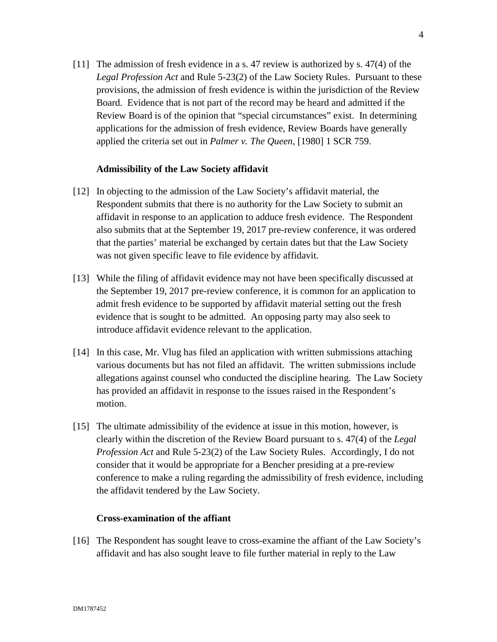[11] The admission of fresh evidence in a s. 47 review is authorized by s. 47(4) of the *Legal Profession Act* and Rule 5-23(2) of the Law Society Rules. Pursuant to these provisions, the admission of fresh evidence is within the jurisdiction of the Review Board. Evidence that is not part of the record may be heard and admitted if the Review Board is of the opinion that "special circumstances" exist. In determining applications for the admission of fresh evidence, Review Boards have generally applied the criteria set out in *Palmer v. The Queen*, [1980] 1 SCR 759.

### **Admissibility of the Law Society affidavit**

- [12] In objecting to the admission of the Law Society's affidavit material, the Respondent submits that there is no authority for the Law Society to submit an affidavit in response to an application to adduce fresh evidence. The Respondent also submits that at the September 19, 2017 pre-review conference, it was ordered that the parties' material be exchanged by certain dates but that the Law Society was not given specific leave to file evidence by affidavit.
- [13] While the filing of affidavit evidence may not have been specifically discussed at the September 19, 2017 pre-review conference, it is common for an application to admit fresh evidence to be supported by affidavit material setting out the fresh evidence that is sought to be admitted. An opposing party may also seek to introduce affidavit evidence relevant to the application.
- [14] In this case, Mr. Vlug has filed an application with written submissions attaching various documents but has not filed an affidavit. The written submissions include allegations against counsel who conducted the discipline hearing. The Law Society has provided an affidavit in response to the issues raised in the Respondent's motion.
- [15] The ultimate admissibility of the evidence at issue in this motion, however, is clearly within the discretion of the Review Board pursuant to s. 47(4) of the *Legal Profession Act* and Rule 5-23(2) of the Law Society Rules. Accordingly, I do not consider that it would be appropriate for a Bencher presiding at a pre-review conference to make a ruling regarding the admissibility of fresh evidence, including the affidavit tendered by the Law Society.

### **Cross-examination of the affiant**

[16] The Respondent has sought leave to cross-examine the affiant of the Law Society's affidavit and has also sought leave to file further material in reply to the Law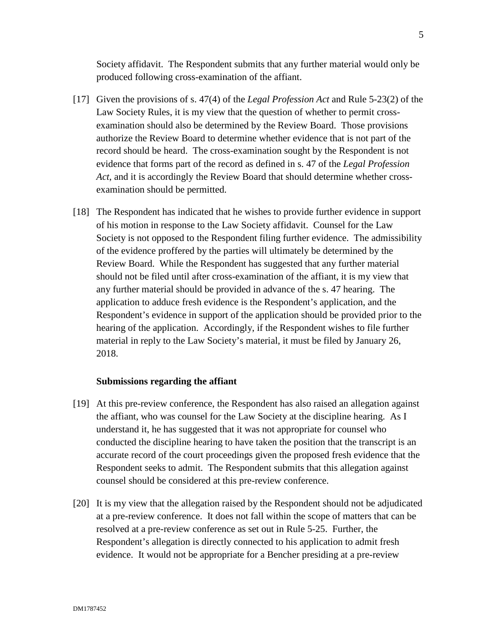Society affidavit. The Respondent submits that any further material would only be produced following cross-examination of the affiant.

- [17] Given the provisions of s. 47(4) of the *Legal Profession Act* and Rule 5-23(2) of the Law Society Rules, it is my view that the question of whether to permit crossexamination should also be determined by the Review Board. Those provisions authorize the Review Board to determine whether evidence that is not part of the record should be heard. The cross-examination sought by the Respondent is not evidence that forms part of the record as defined in s. 47 of the *Legal Profession Act*, and it is accordingly the Review Board that should determine whether crossexamination should be permitted.
- [18] The Respondent has indicated that he wishes to provide further evidence in support of his motion in response to the Law Society affidavit. Counsel for the Law Society is not opposed to the Respondent filing further evidence. The admissibility of the evidence proffered by the parties will ultimately be determined by the Review Board. While the Respondent has suggested that any further material should not be filed until after cross-examination of the affiant, it is my view that any further material should be provided in advance of the s. 47 hearing. The application to adduce fresh evidence is the Respondent's application, and the Respondent's evidence in support of the application should be provided prior to the hearing of the application. Accordingly, if the Respondent wishes to file further material in reply to the Law Society's material, it must be filed by January 26, 2018.

#### **Submissions regarding the affiant**

- [19] At this pre-review conference, the Respondent has also raised an allegation against the affiant, who was counsel for the Law Society at the discipline hearing. As I understand it, he has suggested that it was not appropriate for counsel who conducted the discipline hearing to have taken the position that the transcript is an accurate record of the court proceedings given the proposed fresh evidence that the Respondent seeks to admit. The Respondent submits that this allegation against counsel should be considered at this pre-review conference.
- [20] It is my view that the allegation raised by the Respondent should not be adjudicated at a pre-review conference. It does not fall within the scope of matters that can be resolved at a pre-review conference as set out in Rule 5-25. Further, the Respondent's allegation is directly connected to his application to admit fresh evidence. It would not be appropriate for a Bencher presiding at a pre-review